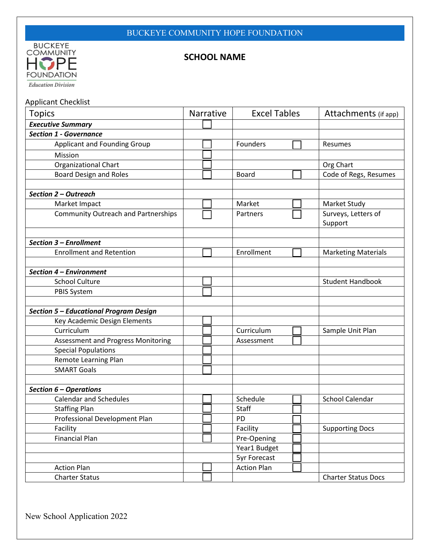

## **SCHOOL NAME**

Applicant Checklist

| <b>Topics</b>                              | Narrative | <b>Excel Tables</b> | Attachments (if app)           |
|--------------------------------------------|-----------|---------------------|--------------------------------|
| <b>Executive Summary</b>                   |           |                     |                                |
| <b>Section 1 - Governance</b>              |           |                     |                                |
| <b>Applicant and Founding Group</b>        |           | Founders            | Resumes                        |
| Mission                                    |           |                     |                                |
| <b>Organizational Chart</b>                |           |                     | Org Chart                      |
| <b>Board Design and Roles</b>              |           | Board               | Code of Regs, Resumes          |
| Section 2 - Outreach                       |           |                     |                                |
| Market Impact                              |           | Market              | Market Study                   |
| <b>Community Outreach and Partnerships</b> |           | Partners            | Surveys, Letters of<br>Support |
| Section 3 - Enrollment                     |           |                     |                                |
| <b>Enrollment and Retention</b>            |           | Enrollment          | <b>Marketing Materials</b>     |
| Section 4 - Environment                    |           |                     |                                |
| <b>School Culture</b>                      |           |                     | <b>Student Handbook</b>        |
| <b>PBIS System</b>                         |           |                     |                                |
| Section 5 - Educational Program Design     |           |                     |                                |
| Key Academic Design Elements               |           |                     |                                |
| Curriculum                                 |           | Curriculum          | Sample Unit Plan               |
| Assessment and Progress Monitoring         |           | Assessment          |                                |
| <b>Special Populations</b>                 |           |                     |                                |
| Remote Learning Plan                       |           |                     |                                |
| <b>SMART Goals</b>                         |           |                     |                                |
| Section 6 - Operations                     |           |                     |                                |
| <b>Calendar and Schedules</b>              |           | Schedule            | <b>School Calendar</b>         |
| <b>Staffing Plan</b>                       |           | <b>Staff</b>        |                                |
| Professional Development Plan              |           | PD                  |                                |
| Facility                                   |           | Facility            | <b>Supporting Docs</b>         |
| <b>Financial Plan</b>                      |           | Pre-Opening         |                                |
|                                            |           | Year1 Budget        |                                |
|                                            |           | <b>5yr Forecast</b> |                                |
| <b>Action Plan</b>                         |           | <b>Action Plan</b>  |                                |
| <b>Charter Status</b>                      |           |                     | <b>Charter Status Docs</b>     |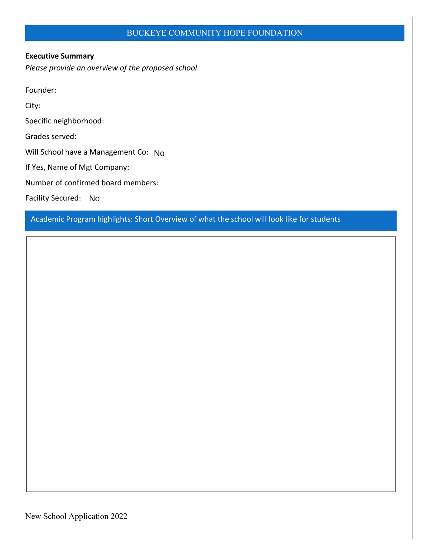#### **Executive Summary**

*Please provide an overview of the proposed school*

Founder:

City:

Specific neighborhood:

Grades served:

Will School have a Management Co: No

If Yes, Name of Mgt Company:

Number of confirmed board members:

Facility Secured: No

Academic Program highlights: Short Overview of what the school will look like for students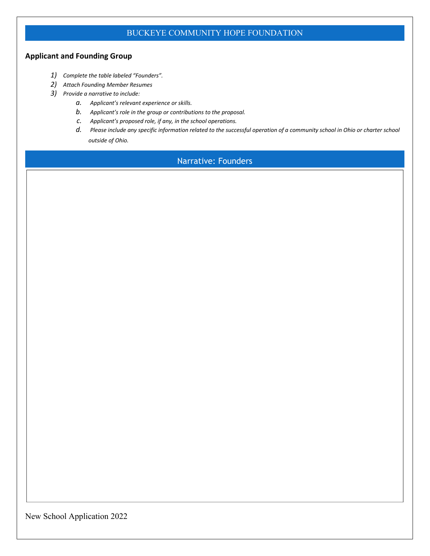## **Applicant and Founding Group**

- *1) Complete the table labeled "Founders".*
- *2) Attach Founding Member Resumes*
- *3) Provide a narrative to include:*
	- *a. Applicant's relevant experience or skills.*
	- *b. Applicant's role in the group or contributions to the proposal.*
	- *c. Applicant's proposed role, if any, in the school operations.*
	- *d. Please include any specific information related to the successful operation of a community school in Ohio or charter school outside of Ohio.*

## Narrative: Founders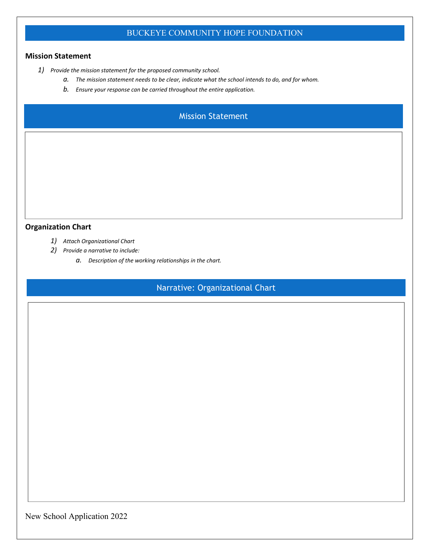#### **Mission Statement**

- *1) Provide the mission statement for the proposed community school.*
	- *a. The mission statement needs to be clear, indicate what the school intends to do, and for whom.*
	- *b. Ensure your response can be carried throughout the entire application.*

## Mission Statement

#### **Organization Chart**

- *1) Attach Organizational Chart*
- *2) Provide a narrative to include:*
	- *a. Description of the working relationships in the chart.*

## Narrative: Organizational Chart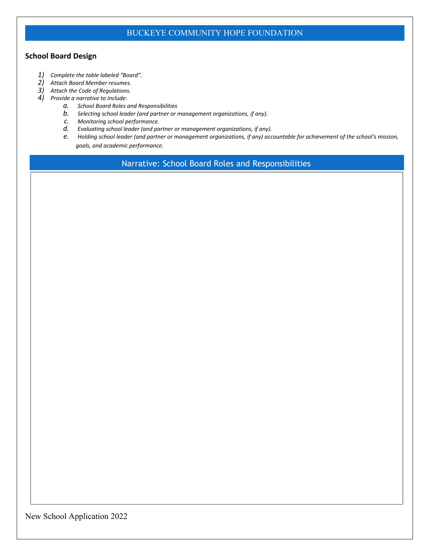### **School Board Design**

- *1) Complete the table labeled "Board".*
- *2) Attach Board Member resumes.*
- *3) Attach the Code of Regulations.*
- *4) Provide a narrative to include:*
	- *a. School Board Roles and Responsibilities including self-evaluation.*
	- *b. Process for selecting and evaluating school leader (and management organization, if any).*
	- *c. Process for monitoring school performance including details of any sub-committees.*
	- *d. Description of all Professional Development required for Board members.*
	- *e. Process fo holding school leader (and management organization, if any) accountable for achievement of the school's mission, goals, and academic performance.*

Narrative: School Board Roles and Responsibilities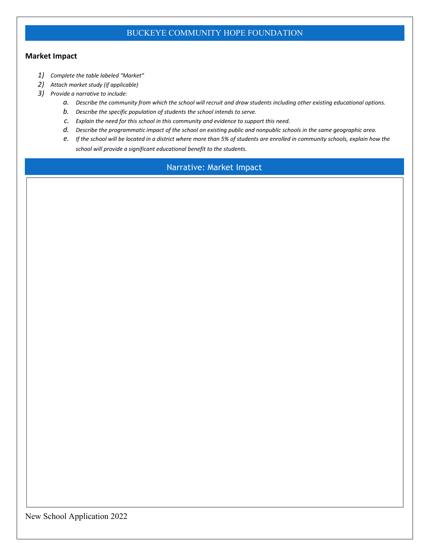#### **Market Impact**

- *1) Complete the table labeled "Market"*
- *2) Attach market study (if applicable)*
- *3) Provide a narrative to include:*
	- *a. Describe the community from which the school will recruit and draw students including other existing educational options.*
	- *b. Describe the specific population of students the school intends to serve.*
	- *c. Explain the need for this school in this community and evidence to support this need.*
	- *d. Describe the programmatic impact of the school on existing public and nonpublic schools in the same geographic area.*
	- *e. If the school will be located in a district where more than 5% of students are enrolled in community schools, explain how the school will provide a significant educational benefit to the students.*

## Narrative: Market Impact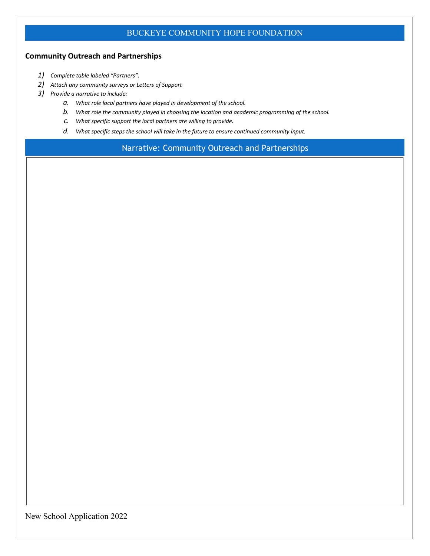### **Community Outreach and Partnerships**

- *1) Complete table labeled "Partners".*
- *2) Attach any community surveys or Letters of Support*
- *3) Provide a narrative to include:*
	- *a. What role local partners have played in development of the school.*
	- *b. What role the community played in choosing the location and academic programming of the school.*
	- *c. What specific support the local partners are willing to provide.*
	- *d. What specific steps the school will take in the future to ensure continued community input.*

Narrative: Community Outreach and Partnerships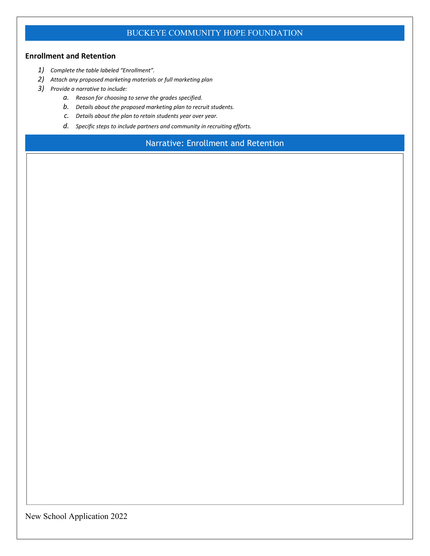#### **Enrollment and Retention**

- *1) Complete the table labeled "Enrollment".*
- *2) Attach any proposed marketing materials or full marketing plan*
- *3) Provide a narrative to include:*
	- *a. Reason for choosing to serve the grades specified.*
	- *b. Details about the proposed marketing plan to recruit students.*
	- *c. Details about the plan to retain students year over year.*
	- *d. Specific steps to include partners and community in recruiting efforts.*

Narrative: Enrollment and Retention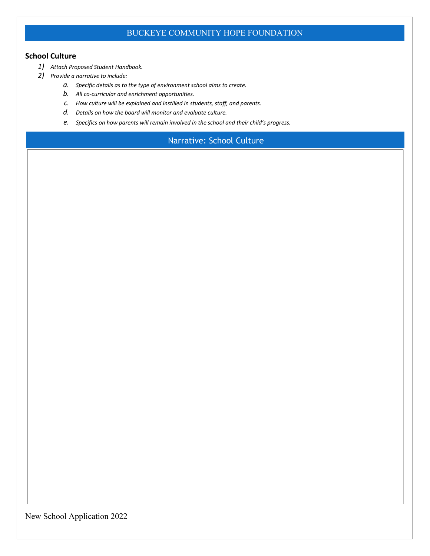#### **School Culture**

- *1) Attach Proposed Student Handbook.*
- *2) Provide a narrative to include:*
	- *a. Specific details as to the type of environment school aims to create.*
	- *b. All co-curricular and enrichment opportunities.*
	- *c. How culture will be explained and instilled in students, staff, and parents.*
	- *d. Details on how the board will monitor and evaluate culture.*
	- *e. Specifics on how parents will remain involved in the school and their child's progress.*

# Narrative: School Culture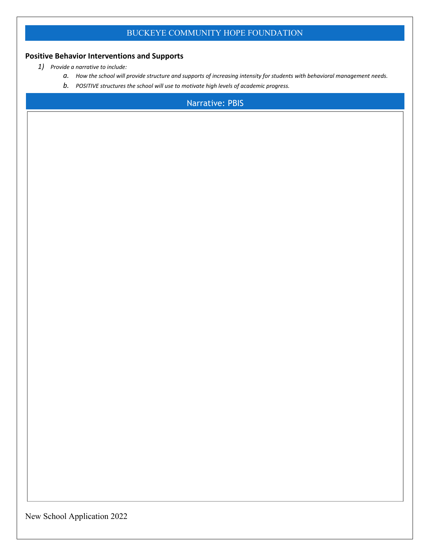## **Positive Behavior Interventions and Supports**

- *1) Provide a narrative to include:*
	- *a. How the school will provide structure and supports of increasing intensity for students with behavioral management needs.*
	- *b. POSITIVE structures the school will use to motivate high levels of academic progress.*

### Narrative: PBIS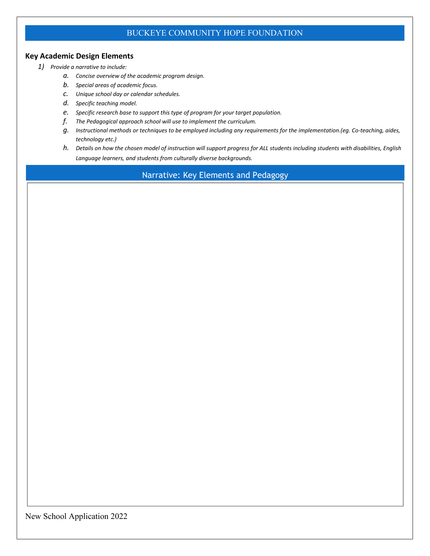#### **Key Academic Design Elements**

- *1) Provide a narrative to include:*
	- *a. Concise overview of the academic program design.*
	- *b. Special areas of academic focus.*
	- *c. Unique school day or calendar schedules.*
	- *d. Specific teaching model.*
	- *e. Specific research base to support this type of program for your target population.*
	- *f. The Pedagogical approach school will use to implement the curriculum.*
	- *g. Instructional methods or techniques to be employed including any requirements for the implementation.(eg. Co-teaching, aides, technology etc.)*
	- *h. Details on how the chosen model of instruction will support progress for ALL students including students with disabilities, English Language learners, and students from culturally diverse backgrounds.*

Narrative: Key Elements and Pedagogy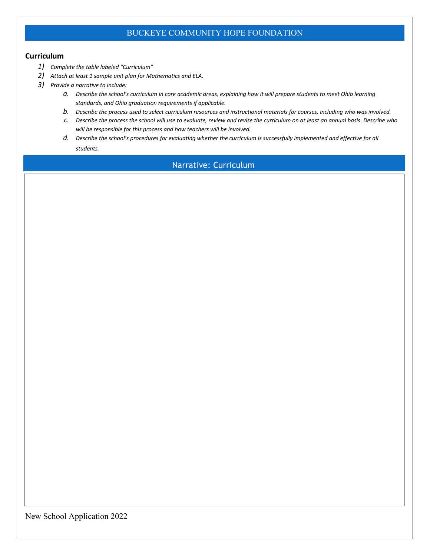#### **Curriculum**

- *1) Complete the table labeled "Curriculum"*
- *2) Attach at least 1 sample unit plan for Mathematics and ELA.*
- *3) Provide a narrative to include:*
	- *a. Describe the school's curriculum in core academic areas, explaining how it will prepare students to meet Ohio learning standards, and Ohio graduation requirements if applicable.*
	- *b. Describe the process used to select curriculum resources and instructional materials for courses, including who was involved.*
	- *c. Describe the process the school will use to evaluate, review and revise the curriculum on at least an annual basis. Describe who will be responsible for this process and how teachers will be involved.*
	- *d. Describe the school's procedures for evaluating whether the curriculum is successfully implemented and effective for all students.*

## Narrative: Curriculum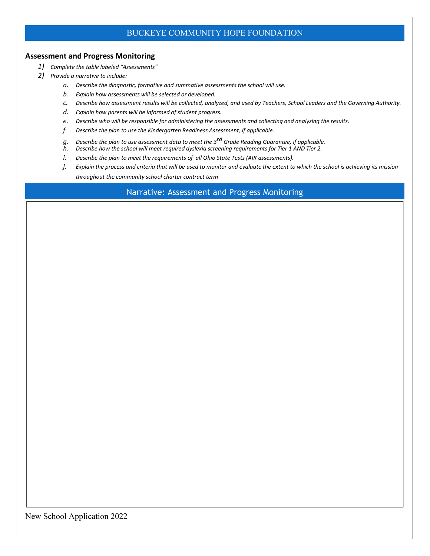#### **Assessment and Progress Monitoring**

- *1) Complete the table labeled "Assessments"*
- *2) Provide a narrative to include:*
	- *a. Describe the diagnostic, formative and summative assessments the school will use.*
	- *b. Explain how assessments will be selected or developed.*
	- *c. Describe how assessment results will be collected, analyzed, and used by Teachers, School Leaders and the Governing Authority.*
	- *d. Explain how parents will be informed of student progress.*
	- *e. Describe who will be responsible for administering the assessments and collecting and analyzing the results.*
	- *f. Describe the plan to use the Kindergarten Readiness Assessment, if applicable.*
	- *g. Describe the plan to use assessment data to meet the 3 rd Grade Reading Guarantee, if applicable.*
	- *h. Describe how the school will meet required dyslexia screening requirements for Tier 1 AND Tier 2.*
	- *i. Describe the plan to meet the requirements of all Ohio State Tests (AIR assessments).*
	- *j. Explain the process and criteria that will be used to monitor and evaluate the extent to which the school is achieving its mission throughout the community school charter contract term*

Narrative: Assessment and Progress Monitoring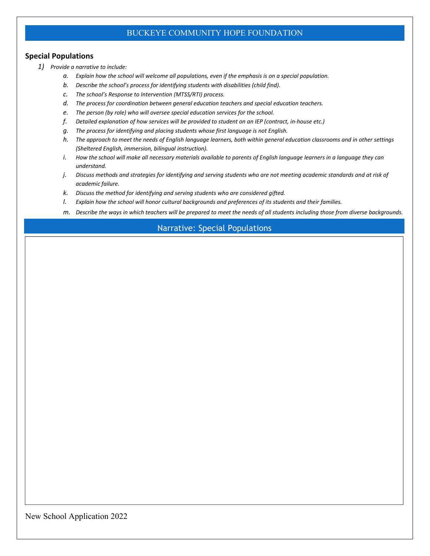#### **Special Populations**

- *1) Provide a narrative to include:*
	- *a. Explain how the school will welcome all populations, even if the emphasis is on a special population.*
	- *b. Describe the school's process for identifying students with disabilities (child find).*
	- *c. The school's Response to Intervention (MTSS/RTI) process.*
	- *d. The process for coordination between general education teachers and special education teachers.*
	- *e. The person (by role) who will oversee special education services for the school.*
	- *f. Detailed explanation of how services will be provided to student on an IEP (contract, in-house etc.)*
	- *g. The process for identifying and placing students whose first language is not English.*
	- *h. The approach to meet the needs of English language learners, both within general education classrooms and in other settings (Sheltered English, immersion, bilingual instruction).*
	- *i.* How the school will make all necessary materials available to parents of English language learners in a language they can *understand.*
	- *j. Discuss methods and strategies for identifying and serving students who are not meeting academic standards and at risk of academic failure.*
	- *k. Discuss the method for identifying and serving students who are considered gifted.*
	- *l. Explain how the school will honor cultural backgrounds and preferences of its students and their families.*
	- *m. Describe the ways in which teachers will be prepared to meet the needs of all students including those from diverse backgrounds.*

## Narrative: Special Populations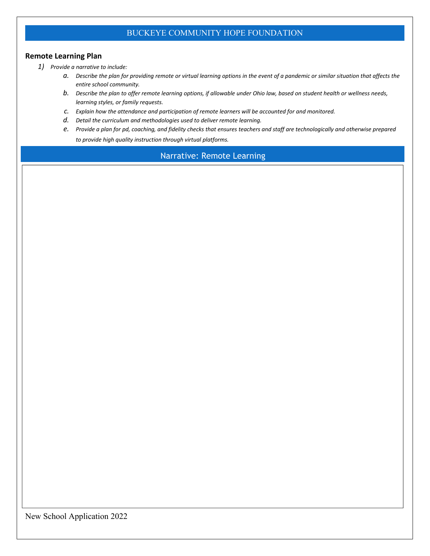#### **Continuity of Learning Plan**

*1) Provide a narrative to include:*

- *a. Describe the plan for providing remote or virtual learning options in the event of a pandemic or similar situation that affects the entire school community.*
- *b. Describe the plan to offer remote learning options, if allowable under Ohio law, based on student health or wellness needs, learning styles, or family requests.*
- *c. Explain how the attendance and participation of remote learners will be accounted for and monitored.*
- *d. Detail the curriculum and methodologies used to deliver remote learning.*
- *e. Provide a plan for PD, coaching, and fidelity checks that ensures teachers and staff are technologically and otherwise prepared to provide high quality instruction through virtual platforms.*

## Narrative: Remote Learning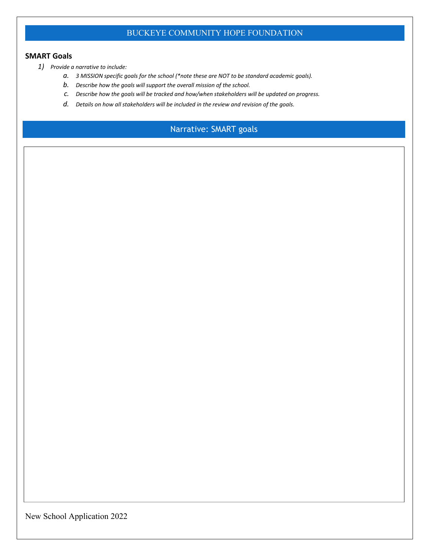#### **SMART Goals**

- *1) Provide a narrative to include:*
	- *a. 3 MISSION specific goals for the school (\*note these are NOT to be standard academic goals).*
	- *b. Describe how the goals will support the overall mission of the school.*
	- *c. Describe how the goals will be tracked and how/when stakeholders will be updated on progress.*
	- *d. Details on how all stakeholders will be included in the review and revision of the goals.*

# Narrative: SMART goals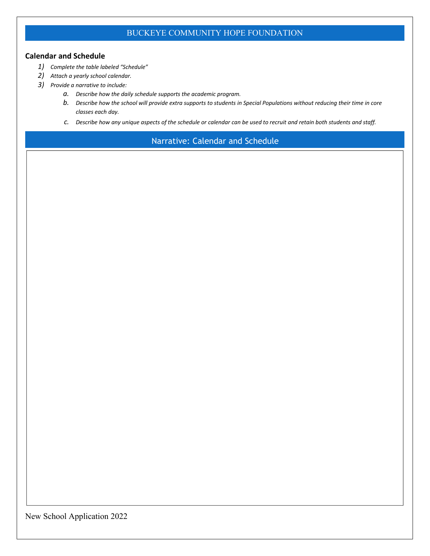#### **Calendar and Schedule**

- *1) Complete the table labeled "Schedule"*
- *2) Attach a yearly school calendar.*
- *3) Provide a narrative to include:*
	- *a. Describe how the daily schedule supports the academic program.*
	- *b. Describe how the school will provide extra supports to students in Special Populations without reducing their time in core classes each day.*
	- *c. Describe how any unique aspects of the schedule or calendar can be used to recruit and retain both students and staff.*

Narrative: Calendar and Schedule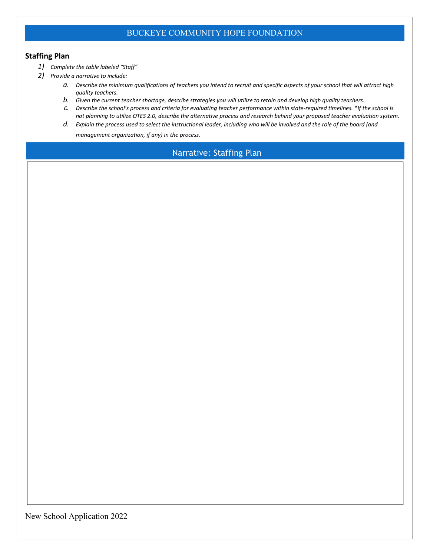#### **Staffing Plan**

- *1) Complete the table labeled "Staff"*
- *2) Provide a narrative to include:*
	- *a. Describe the minimum qualifications of teachers you intend to recruit and specific aspects of your school that will attract high quality teachers.*
	- *b. Given the current teacher shortage, describe strategies you will utilize to retain and develop high quality teachers.*
	- *c. Describe the school's process and criteria for evaluating teacher performance within state-required timelines. \*If the school is not planning to utilize OTES 2.0, describe the alternative process and research behind your proposed teacher evaluation system.*
	- *d. Explain the process used to select the instructional leader, including who will be involved and the role of the board (and management organization, if any) in the process.*

Narrative: Staffing Plan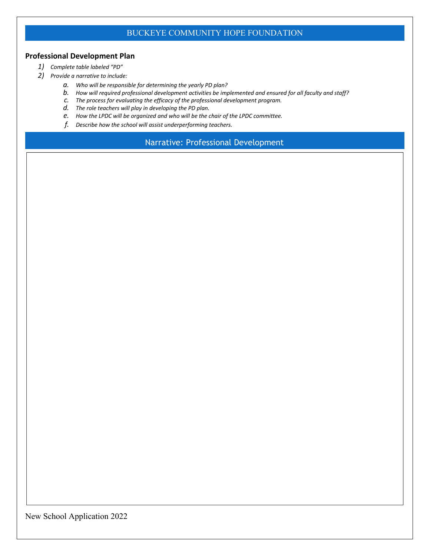#### **Professional Development Plan**

- *1) Complete table labeled "PD"*
- *2) Provide a narrative to include:*
	- *a. Who will be responsible for determining the yearly PD plan?*
	- *b. How will required professional development activities be implemented and ensured for all faculty and staff?*
	- *c. The process for evaluating the efficacy of the professional development program.*
	- *d. The role teachers will play in developing the PD plan.*
	- *e. How the LPDC will be organized and who will be the chair of the LPDC committee.*
	- *f. Describe how the school will assist underperforming teachers.*

Narrative: Professional Development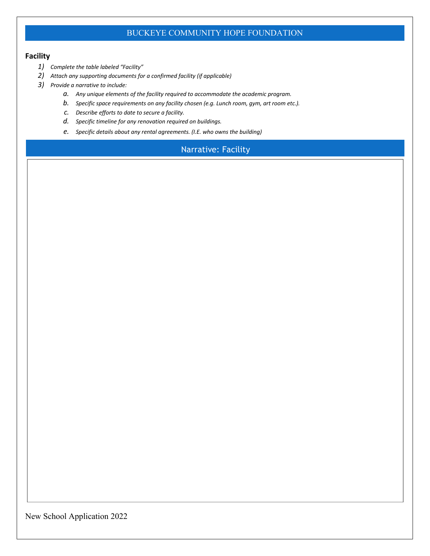#### **Facility**

- *1) Complete the table labeled "Facility"*
- *2) Attach any supporting documents for a confirmed facility (if applicable)*
- *3) Provide a narrative to include:*
	- *a. Any unique elements of the facility required to accommodate the academic program.*
	- *b. Specific space requirements on any facility chosen (e.g. Lunch room, gym, art room etc.).*
	- *c. Describe efforts (including community involvement) to date to secure a facility.*
	- *d. Specific timeline for any renovation required on buildings.*
	- *e. Specific details about any rental agreements. (I.E. who owns the building)*

## Narrative: Facility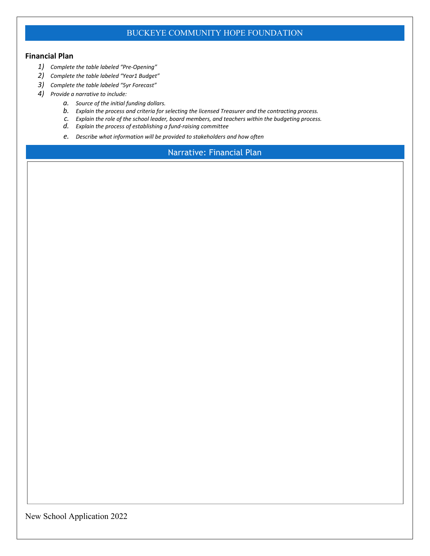#### **Financial Plan**

- *1) Complete the table labeled "Pre-Opening"*
- *2) Complete the table labeled "Year1 Budget"*
- *3) Complete the table labeled "5yr Forecast"*
- *4) Provide a narrative to include:*
	- *a. Source of the initial funding dollars.*
	- *b. Explain the process and criteria for selecting the licensed Treasurer and the contracting process.*
	- *c. Explain the role of the school leader, board members, and teachers within the budgeting process.*
	- *d. Explain the process of establishing a fund-raising committee*
	- *e. Describe what information will be provided to stakeholders and how often*

Narrative: Financial Plan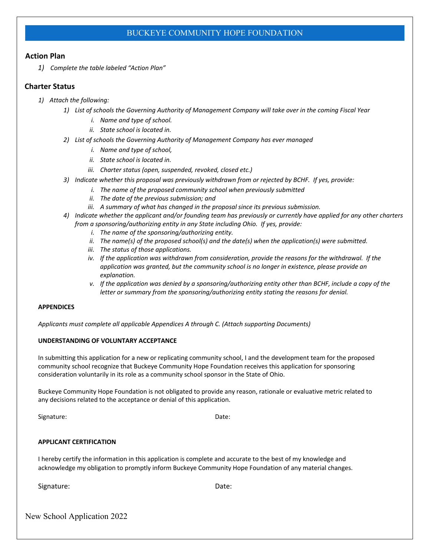#### **Action Plan**

*1) Complete the table labeled "Action Plan"*

#### **Charter Status**

- *1) Attach the following:*
	- *1) List of schools the Governing Authority or Management Company will take over in the coming Fiscal Year*
		- *i. Name and type of school.*
		- *ii. State school is located in.*
	- *2) List of schools the Governing Authority of Management Company has ever managed*
		- *i. Name and type of school,*
		- *ii. State school is located in.*
		- *iii. Charter status (open, suspended, revoked, closed etc.)*
	- *3) Indicate whether this proposal was previously withdrawn from or rejected by BCHF. If yes, provide:*
		- *i. The name of the proposed community school when previously submitted*
		- *ii. The date of the previous submission; and*
		- *iii. A summary of what has changed in the proposal since its previous submission.*
	- *4) Indicate whether the applicant and/or founding team has previously or currently have applied for any other charters from a sponsoring/authorizing entity in any State including Ohio. If yes, provide:*
		- *i. The name of the sponsoring/authorizing entity.*
		- *ii. The name(s) of the proposed school(s) and the date(s) when the application(s) were submitted.*
		- *iii. The status of those applications.*
		- *iv. If the application was withdrawn from consideration, provide the reasons for the withdrawal. If the application was granted, but the community school is no longer in existence, please provide an explanation.*
		- *v. If the application was denied by a sponsoring/authorizing entity other than BCHF, include a copy of the letter or summary from the sponsoring/authorizing entity stating the reasons for denial.*

#### **APPENDICES**

*Applicants must complete all applicable Appendices A through C. (Attach supporting Documents)*

#### **UNDERSTANDING OF VOLUNTARY ACCEPTANCE**

In submitting this application for a new or replicating community school, I and the development team for the proposed community school recognize that Buckeye Community Hope Foundation receives this application for sponsoring consideration voluntarily in its role as a community school sponsor in the State of Ohio.

Buckeye Community Hope Foundation is not obligated to provide any reason, rationale or evaluative metric related to any decisions related to the acceptance or denial of this application.

Signature: Date: Date: Date: Date: Date: Date: Date: Date: Date: Date: Date: Date: Date: Date: Date: Date: Date: Date: Date: Date: Date: Date: Date: Date: Date: Date: Date: Date: Date: Date: Date: Date: Date: Date: Date: D

#### **APPLICANT CERTIFICATION**

I hereby certify the information in this application is complete and accurate to the best of my knowledge and acknowledge my obligation to promptly inform Buckeye Community Hope Foundation of any material changes.

Signature: Date: Date: Date: Date: Date: Date: Date: Date: Date: Date: Date: Date: Date: Date: Date: Date: Date: Date:  $\sim$  Date:  $\sim$  Date:  $\sim$  Date:  $\sim$  Date:  $\sim$  Date:  $\sim$  Date:  $\sim$  Date:  $\sim$  Date:  $\sim$  Date:  $\sim$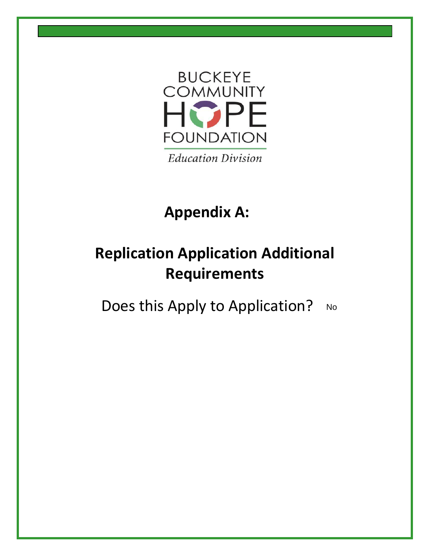

# **Appendix A:**

# **Replication Application Additional Requirements**

Does this Apply to Application? No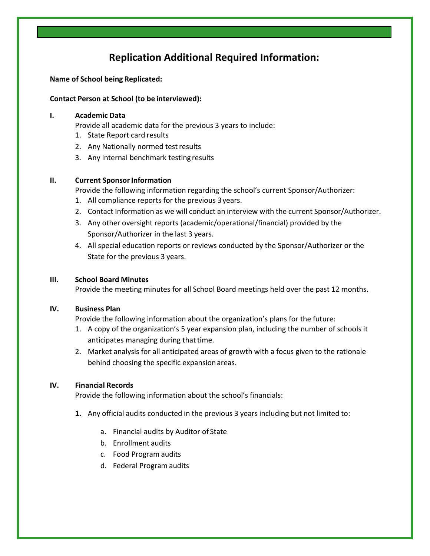# **Replication Additional Required Information:**

#### **Name of School being Replicated:**

#### **Contact Person at School (to be interviewed):**

#### **I. Academic Data**

Provide all academic data for the previous 3 years to include:

- 1. State Report card results
- 2. Any Nationally normed testresults
- 3. Any internal benchmark testing results

#### **II.** Current Sponsor Information

Provide the following information regarding the school's current Sponsor/Authorizer:

- 1. All compliance reports for the previous 3years.
- 2. Contact Information as we will conduct an interview with the current Sponsor/Authorizer.
- 3. Any other oversight reports (academic/operational/financial) provided by the Sponsor/Authorizer in the last 3 years.
- 4. All special education reports or reviews conducted by the Sponsor/Authorizer or the State for the previous 3 years.

#### **III. School Board Minutes**

Provide the meeting minutes for all School Board meetings held over the past 12 months.

#### **IV. Business Plan**

Provide the following information about the organization's plans for the future:

- 1. A copy of the organization's 5 year expansion plan, including the number of schools it anticipates managing during that time.
- 2. Market analysis for all anticipated areas of growth with a focus given to the rationale behind choosing the specific expansion areas.

#### **IV. Financial Records**

Provide the following information about the school's financials:

- **1.** Any official audits conducted in the previous 3 years including but not limited to:
	- a. Financial audits by Auditor of State
	- b. Enrollment audits
	- c. Food Program audits
	- d. Federal Program audits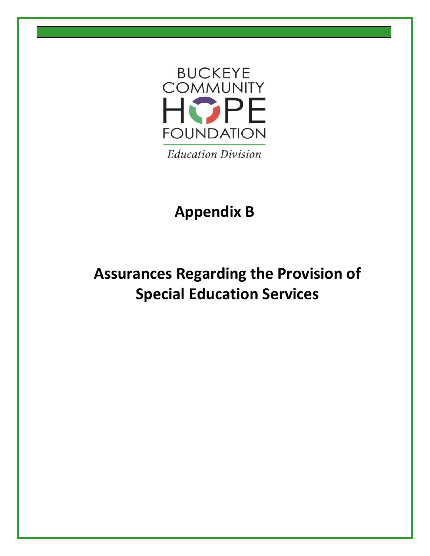

# **Appendix B**

# **Assurances Regarding the Provision of Special Education Services**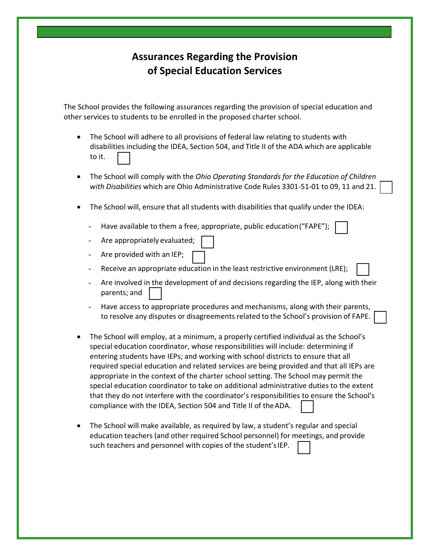# **Assurances Regarding the Provision of Special Education Services**

The School provides the following assurances regarding the provision of special education and other services to students to be enrolled in the proposed charter school.

- The School will adhere to all provisions of federal law relating to students with disabilities including the IDEA, Section 504, and Title II of the ADA which are applicable to it.
- The School will comply with the *[Ohio Operating Standards for the Education of Children](http://education.ohio.gov/getattachment/Topics/Special-Education/Federal-and-State-Requirements/Operational-Standards-and-Guidance/2014-Ohio-Operating-Standards-for-the-Education-of-Children-with-Disabilities.pdf.aspx) with [Disabilities](http://education.ohio.gov/getattachment/Topics/Special-Education/Federal-and-State-Requirements/Operational-Standards-and-Guidance/2014-Ohio-Operating-Standards-for-the-Education-of-Children-with-Disabilities.pdf.aspx)* which are Ohio Administrative Code Rules 3301-51-01 to 09, 11 and 21.
- The School will, ensure that all students with disabilities that qualify under the IDEA:
	- Have available to them a free, appropriate, public education("FAPE");
	- Are appropriately evaluated;
	- Are provided with an IEP;
	- Receive an appropriate education in the least restrictive environment (LRE);
	- Are involved in the development of and decisions regarding the IEP, along with their parents; and
	- Have access to appropriate procedures and mechanisms, along with their parents, to resolve any disputes or disagreements related to the School's provision of FAPE.
- The School will employ, at a minimum, a properly certified individual as the School's special education coordinator, whose responsibilities will include: determining if entering students have IEPs; and working with school districts to ensure that all required special education and related services are being provided and that all IEPs are appropriate in the context of the charter school setting. The School may permit the special education coordinator to take on additional administrative duties to the extent that they do not interfere with the coordinator's responsibilities to ensure the School's compliance with the IDEA, Section 504 and Title II of theADA.
- The School will make available, as required by law, a student's regular and special education teachers (and other required School personnel) for meetings, and provide such teachers and personnel with copies of the student'sIEP.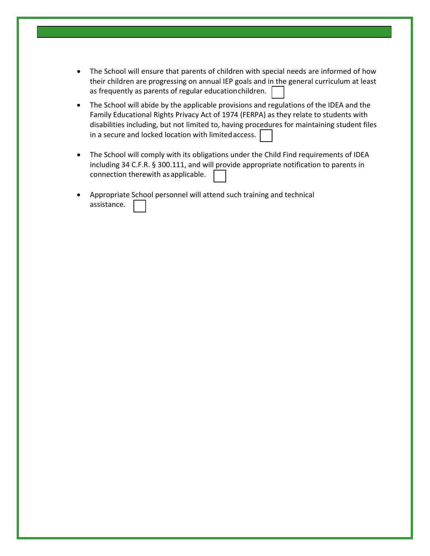- The School will ensure that parents of children with special needs are informed of how their children are progressing on annual IEP goals and in the general curriculum at least as frequently as parents of regular educationchildren.
- The School will abide by the applicable provisions and regulations of the IDEA and the Family Educational Rights Privacy Act of 1974 (FERPA) as they relate to students with disabilities including, but not limited to, having procedures for maintaining student files in a secure and locked location with limited access.
- The School will comply with its obligations under the Child Find requirements of IDEA including 34 C.F.R. § 300.111, and will provide appropriate notification to parents in connection therewith asapplicable.
- Appropriate School personnel will attend such training and technical assistance.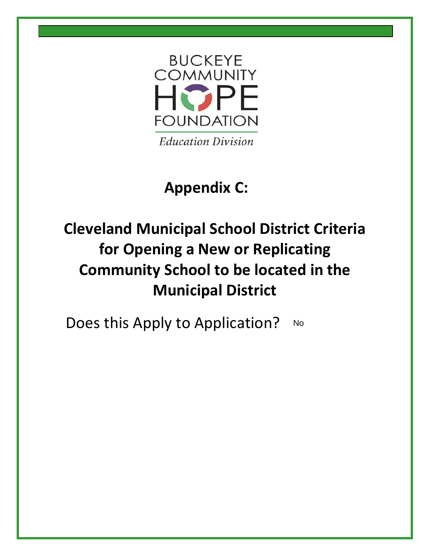

# **Appendix C:**

# **Cleveland Municipal School District Criteria for Opening a New or Replicating Community School to be located in the Municipal District**

Does this Apply to Application? No